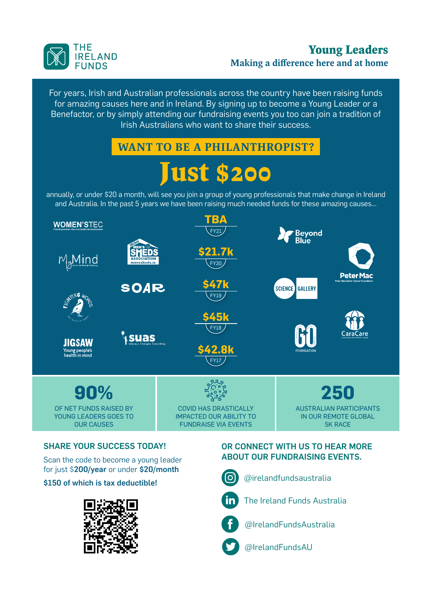

### **Young Leaders** Making a difference here and at home

For years, Irish and Australian professionals across the country have been raising funds for amazing causes here and in Ireland. By signing up to become a Young Leader or a Benefactor, or by simply attending our fundraising events you too can join a tradition of Irish Australians who want to share their success.

# WANT TO BE A PHILANTHROPIST?

# **Just \$200**

annually, or under \$20 a month, will see you join a group of young professionals that make change in Ireland and Australia. In the past 5 years we have been raising much needed funds for these amazing causes…



#### SHARE YOUR SUCCESS TODAY!

Scan the code to become a young leader for just \$200/year or under \$20/month

\$150 of which is tax deductible!



#### OR CONNECT WITH US TO HEAR MORE ABOUT OUR FUNDRAISING EVENTS.



@irelandfundsaustralia



The Ireland Funds Australia

@IrelandFundsAustralia

@IrelandFundsAU